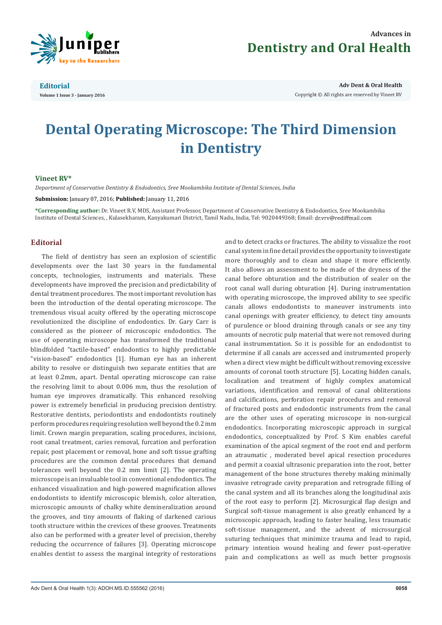

## **Advances in Dentistry and Oral Health**

**Editorial Volume 1 Issue 3 - January 2016**

**Adv Dent & Oral Health**  Copyright © All rights are reserved by Vineet RV

# **Dental Operating Microscope: The Third Dimension in Dentistry**

#### **Vineet RV\***

*Department of Conservative Dentistry & Endodontics, Sree Mookambika Institute of Dental Sciences, India*

**Submission:** January 07, 2016; **Published:** January 11, 2016

**\*Corresponding author:** Dr. Vineet R.V, MDS, Assistant Professor, Department of Conservative Dentistry & Endodontics, Sree Mookambika Institute of Dental Sciences, , Kulasekharam, Kanyakumari District, Tamil Nadu, India, Tel: 9020449368; Email:

### **Editorial**

The field of dentistry has seen an explosion of scientific developments over the last 30 years in the fundamental concepts, technologies, instruments and materials. These developments have improved the precision and predictability of dental treatment procedures. The most important revolution has been the introduction of the dental operating microscope. The tremendous visual acuity offered by the operating microscope revolutionized the discipline of endodontics. Dr. Gary Carr is considered as the pioneer of microscopic endodontics. The use of operating microscope has transformed the traditional blindfolded "tactile-based" endodontics to highly predictable "vision-based" endodontics [1]. Human eye has an inherent ability to resolve or distinguish two separate entities that are at least 0.2mm, apart. Dental operating microscope can raise the resolving limit to about 0.006 mm, thus the resolution of human eye improves dramatically. This enhanced resolving power is extremely beneficial in producing precision dentistry. Restorative dentists, periodontists and endodontists routinely perform procedures requiring resolution well beyond the 0.2 mm limit. Crown margin preparation, scaling procedures, incisions, root canal treatment, caries removal, furcation and perforation repair, post placement or removal, bone and soft tissue grafting procedures are the common dental procedures that demand tolerances well beyond the 0.2 mm limit [2]. The operating microscope is an invaluable tool in conventional endodontics. The enhanced visualization and high-powered magnification allows endodontists to identify microscopic blemish, color alteration, microscopic amounts of chalky white demineralization around the grooves, and tiny amounts of flaking of darkened carious tooth structure within the crevices of these grooves. Treatments also can be performed with a greater level of precision, thereby reducing the occurrence of failures [3]. Operating microscope enables dentist to assess the marginal integrity of restorations

and to detect cracks or fractures. The ability to visualize the root canal system in fine detail provides the opportunity to investigate more thoroughly and to clean and shape it more efficiently. It also allows an assessment to be made of the dryness of the canal before obturation and the distribution of sealer on the root canal wall during obturation [4]. During instrumentation with operating microscope, the improved ability to see specific canals allows endodontists to maneuver instruments into canal openings with greater efficiency, to detect tiny amounts of purulence or blood draining through canals or see any tiny amounts of necrotic pulp material that were not removed during canal instrumentation. So it is possible for an endodontist to determine if all canals are accessed and instrumented properly when a direct view might be difficult without removing excessive amounts of coronal tooth structure [5]. Locating hidden canals, localization and treatment of highly complex anatomical variations, identification and removal of canal obliterations and calcifications, perforation repair procedures and removal of fractured posts and endodontic instruments from the canal are the other uses of operating microscope in non-surgical endodontics. Incorporating microscopic approach in surgical endodontics, conceptualized by Prof. S Kim enables careful examination of the apical segment of the root end and perform an atraumatic , moderated bevel apical resection procedures and permit a coaxial ultrasonic preparation into the root, better management of the bone structures thereby making minimally invasive retrograde cavity preparation and retrograde filling of the canal system and all its branches along the longitudinal axis of the root easy to perform [2]. Microsurgical flap design and Surgical soft-tissue management is also greatly enhanced by a microscopic approach, leading to faster healing, less traumatic soft-tissue management, and the advent of microsurgical suturing techniques that minimize trauma and lead to rapid, primary intention wound healing and fewer post-operative pain and complications as well as much better prognosis